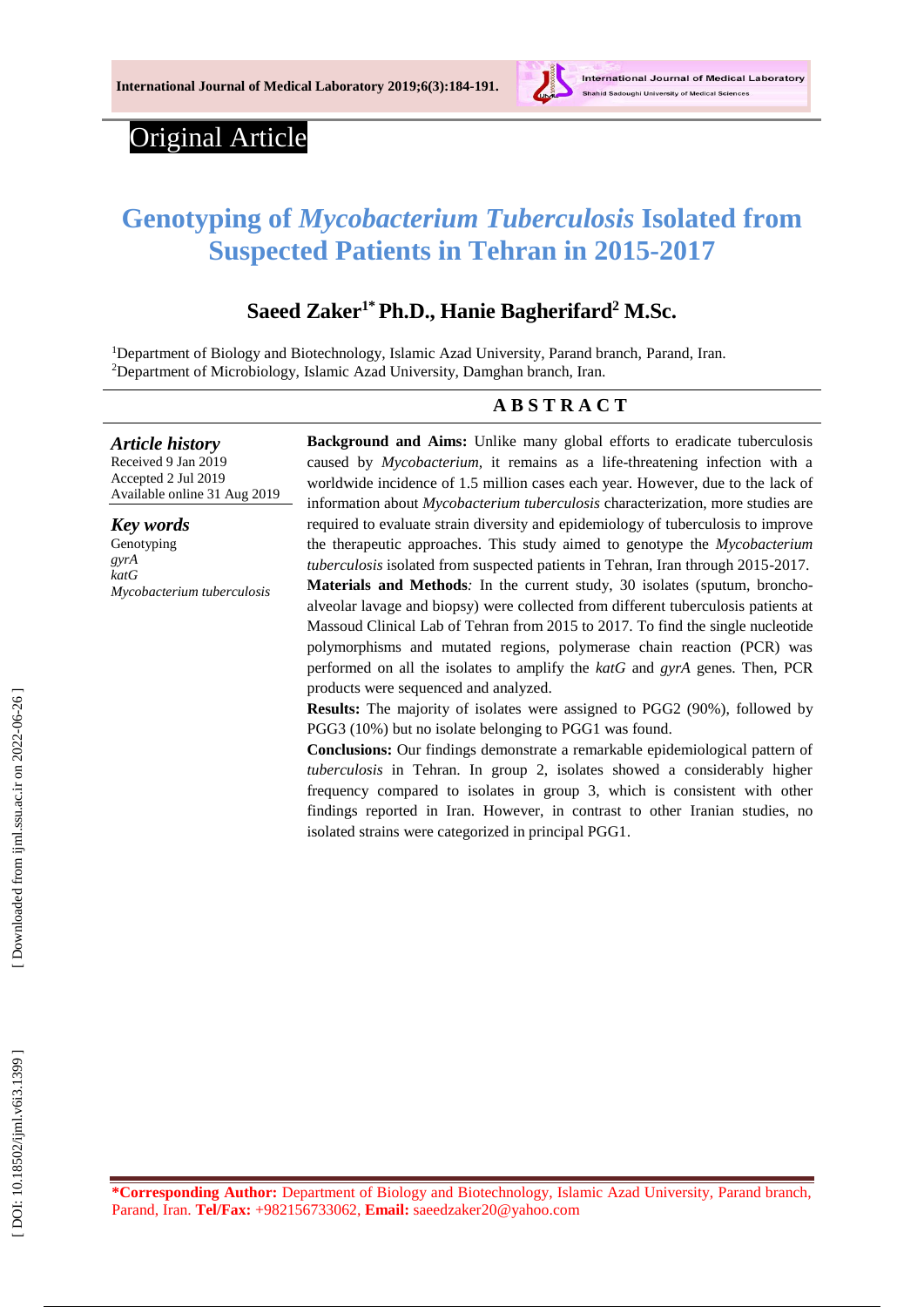

# Original Article

# **Genotyping of** *Mycobacterium Tuberculosis* **Isolated from Suspected Patients in Tehran in 2015 -2017**

# **Saeed Zaker 1 \*Ph.D., Hanie Bagherifard <sup>2</sup> M.Sc.**

<sup>1</sup>Department of Biology and Biotechnology, Islamic Azad University, Parand branch, Parand, Iran. <sup>2</sup>Department of Microbiology, Islamic Azad University, Damghan branch, Iran.

#### **A B S T R A C T**

*Article history* Received 9 J a n 201 9

Accepted 2 Jul 201 9 Available online 31 Aug 201 9

*Key words* Genotyping *gyrA katG Mycobacterium tuberculosis* **Background and Aims:** Unlike many global efforts to eradicate tuberculosis caused by *Mycobacterium*, it remains as a life-threatening infection with a worldwide incidence of 1.5 million cases each year. However, due to the lack of information about *Mycobacterium tuberculosis* characterization, more studies are required to evaluate strain diversity and epidemiology of tuberculosis to improve the therapeutic approaches. This study aimed to genotype the *Mycobacterium tuberculosis* isolated from suspected patients in Tehran, Iran through 2015 -2017. Materials and Methods: In the current study, 30 isolates (sputum, bronchoalveolar lavage and biopsy) were collected from different tuberculosis patients at Massoud Clinical Lab of Tehran from 2015 to 2017. To find the single nucleotide polymorphisms and mutated regions, polymerase chain reaction (PCR) was performed on all the isolates to amplify the *katG* and *gyrA* genes. Then, PCR products were sequenced and analy zed.

**Results:** The majority of isolates were assigned to PGG2 (90%), followed by PGG3 (10%) but no isolate belonging to PGG1 was found.

**Conclusion s :** Our findings demonstrate a remarkable epidemiological pattern of *tuberculosis* in Tehran. In group 2, isolates showed a considerably higher frequency compared to isolates in group 3, which is consistent with other findings reported in Iran. However, in contrast to other Iranian studies, no isolated strains were categorized in principal PGG1 .

**\*Corresponding Author:** Department of Biology and Biotechnology, Islamic Azad University, Parand branch, Parand, Iran. Tel/Fax: +982156733062, Email: saeedzaker20@yahoo.com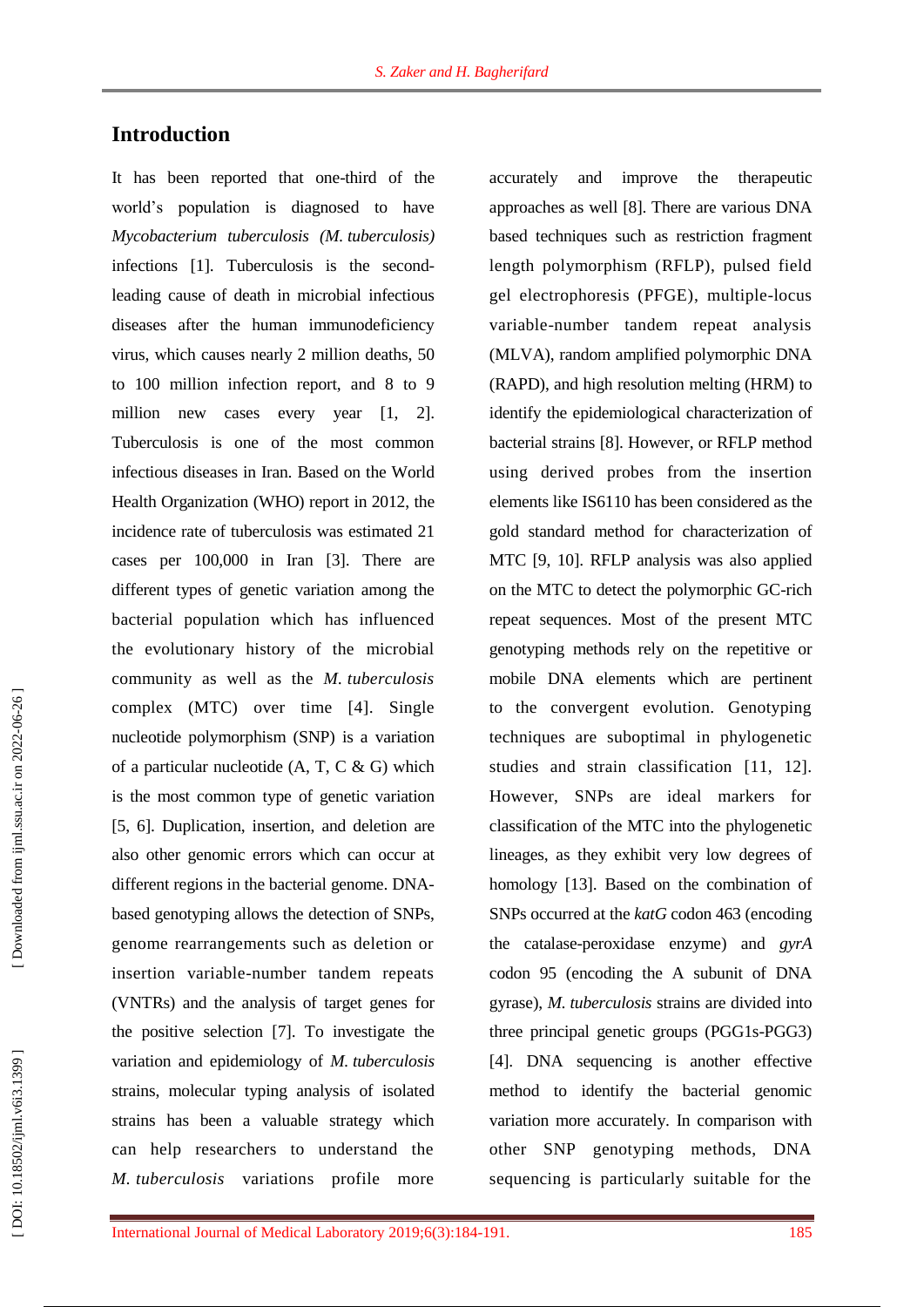# **Introduction**

It has been reported that one -third of the world's population is diagnosed to have *Mycobacterium tuberculosis (M. tuberculosis)* infections [ 1 ] . Tuberculosis is the second leading cause of death in microbial infectious diseases after the human immunodeficiency virus, which causes nearly 2 million deaths, 50 to 100 million infection report, and 8 to 9 million new cases every year [ 1, 2 ]. Tuberculosis is one of the most common infectious diseases in Iran. Based on the World Health Organization (WHO) report in 2012, the incidence rate of tuberculosis was estimated 21 cases per 100,000 in Iran [ 3 ]. There are different types of genetic variation among the bacterial population which has influenced the evolutionary history of the microbial community as well as the *M . tuberculosis* complex (MTC) over time [ 4 ]. Single nucleotide polymorphism (SNP) is a variation of a particular nucleotide  $(A, T, C \& G)$  which is the most common type of genetic variation [5, 6]. Duplication, insertion, and deletion are also other genomic error s which can occur at different regions in the bacterial genome. DNA based genotyping allows the detection of SNPs, genome rearrangements such as deletion or insertion variable -number tandem repeats (VNTRs) and the analysis of target genes for the positive selection [ 7 ]. To investigate the variation and epidemiology of *M. tuberculosis* strains, molecular typing analysis of isolated strains has been a valuable strategy which can help researchers to understand the *M. tuberculosis* variations profile more

accurately and improve the therapeutic approaches as well [ 8 ]. There are various DNA based techniques such as restriction fragment length polymorphism (RFLP ), pulsed field gel electrophoresis (PFGE), multiple -locus variable -number tandem repeat analysis (MLVA), random amplified polymorphic DNA (RAPD), and high resolution melting (HRM) to identify the epidemiological characterization of bacterial strains [ 8 ]. However, or RFLP method using derived probes from the insertion elements like IS6110 has been considered as the gold standard method for characterization of MTC [ 9, 10 ]. RFLP analysis was also applied on the MTC to detect the polymorphic GC -rich repeat sequences. Most of the present MTC genotyping methods rely on the repetitive or mobile DNA elements which are pertinent to the convergent evolution. Genotyping techniques are suboptimal in phylogenetic studies and strain classification [11, 12 ]. However, SNPs are ideal markers for classification of the MTC into the phylogenetic lineages, as they exhibit very low degrees of homology [13 ]. Based on the combination of SNPs occurred at the *katG* codon 463 ( encoding the catalase -peroxidase enzyme) and *gyrA*  codon 95 ( encoding the A subunit of DNA gyrase), *M. tuberculosis* strains are divided into three principal genetic groups (PGG1s-PGG3) [ 4 ] . DNA sequencing is another effective method to identify the bacterial genomic variation more accurately. In comparison with other SNP genotyping methods, DNA sequencing is particularly suitable for the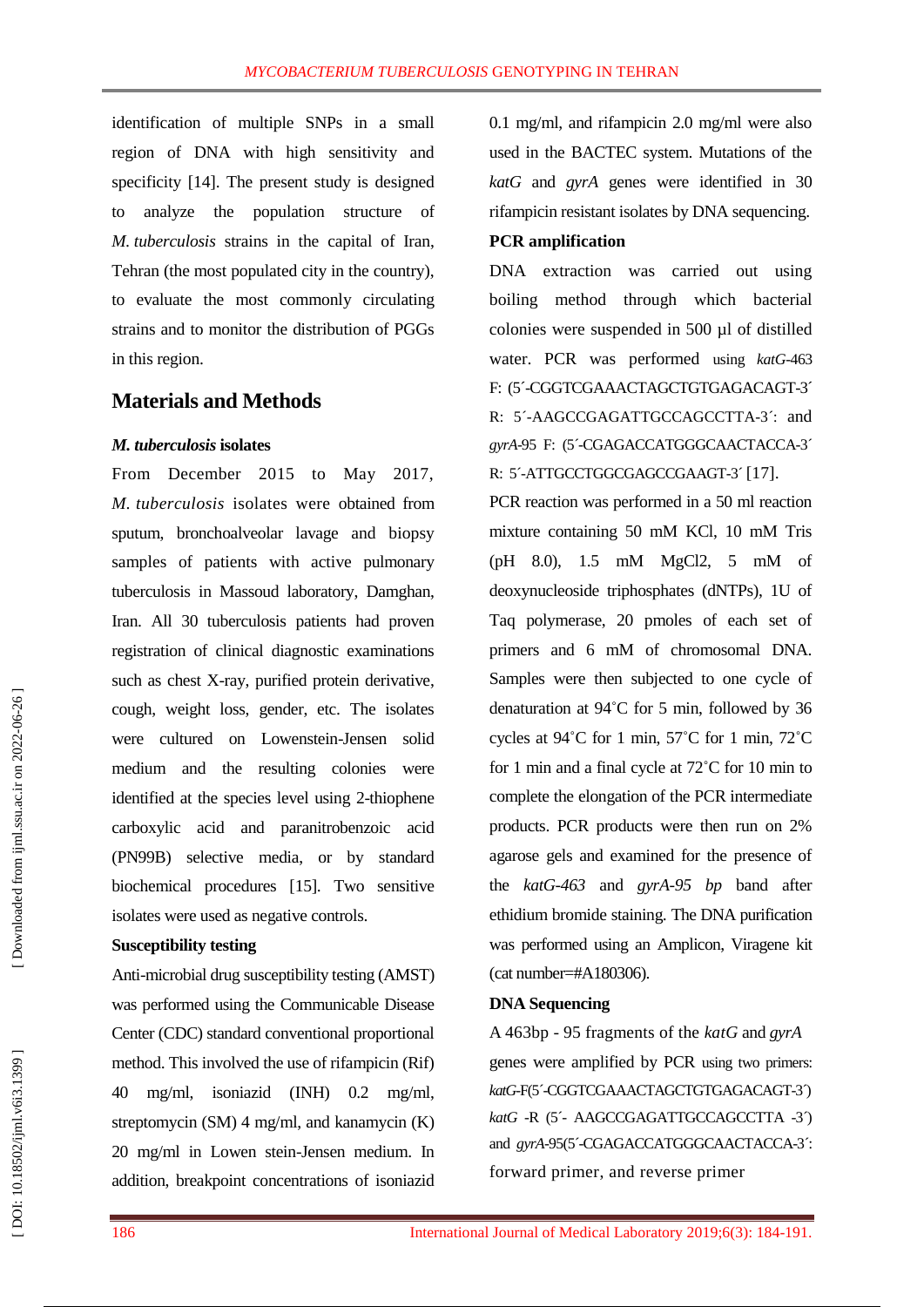identification of multiple SNPs in a small region of DNA with high sensitivity and specificity [14 ] . The present study is designed to analyze the population structure of *M. tuberculosis* strains in the capital of Iran, Tehran (the most populated city in the country) , to evaluate the most commonly circulating strains and to monitor the distribution of PGGs in this region.

## **Materials and Methods**

#### *M. tuberculosis* **isolates**

From December 2015 to May 2017, *M. tuberculosis* isolates were obtained from sputum, bronchoalveolar lavage and biopsy samples of patients with active pulmonary tuberculosis in Massoud laboratory, Damghan , Iran. All 30 tuberculosis patients had proven registration of clinical diagnostic examinations such as chest X -ray, purified protein derivative, cough, weight loss, gender, etc. The isolates were cultured on Lowenstein -Jensen solid medium and the resulting colonies were identified at the species level using 2 -thiophene carboxylic acid and paranitrobenzoic acid (PN99B) selective media, or by standard biochemical procedures [15 ]. Two sensitive isolates were used as negative controls.

#### **Susceptibility testing**

Anti -microbial drug susceptibility testing (AMST) was performed using the Communicable Disease Center (CDC ) standard conventional proportional method. This involved the use of rifampicin (Rif) 40 mg/ml, isoniazid (INH) 0.2 mg/ml, streptomycin (SM) 4 mg/ml, and kanamycin (K) 20 mg/ml in Lowen stein -Jensen medium. In addition, breakpoint concentrations of isoniazid

0.1 mg/ml, and rifampicin 2.0 mg/ml were also used in the BACTEC system. Mutations of the *katG* and *gyrA* genes were identified in 3 0 rifampicin resistant isolates by DNA sequencing. **PCR amplification**

DNA extraction was carried out using boiling method through w hich bacterial colonies were suspended in 500 µl of distilled water. PCR was performed using  $k$ atG-463 F: (5'-CGGTCGAAACTAGCTGTGAGACAGT-3' R: 5´ -AAGCCGAGATTGCCAGCCTTA -3´: and gyrA-95 F: (5<sup>2</sup>CGAGACCATGGGCAACTACCA-3<sup>2</sup> R: 5'-ATTGCCTGGCGAGCCGAAGT-3'[17].

PCR reaction was performed in a 50 ml reaction mixture containing 50 mM KCl, 10 mM Tris (pH 8.0), 1.5 mM MgCl2, 5 mM of deoxynucleoside triphosphates (dNTPs), 1U of Taq polymerase, 20 pmoles of each set of primers and 6 mM of chromosomal DNA. Samples were then subjected to one cycle of denaturation at 94°C for 5 min, followed by 36 cycles at  $94^{\circ}$ C for 1 min,  $57^{\circ}$ C for 1 min,  $72^{\circ}$ C for 1 min and a final cycle at 72°C for 10 min to complete the elongation of the PCR intermediate products. PCR products were then run on 2% agarose gels and examined for the presence of the *katG -463* and *gyrA -95 bp* band after ethidium bromide staining. The DNA purification was performed using an Amplicon, Viragene kit (cat number=#A180306).

#### **DNA Sequencing**

A 463bp - 95 fragments of the *katG* and *gyrA* genes were amplified by PCR using two primers: *katG*-F(5´-CGGTCGAAACTAGCTGTGAGACAGT -3´) katG -R (5<sup>2</sup> AAGCCGAGATTGCCAGCCTTA -3<sup>2</sup>) and *gyrA*-95(5'-CGAGACCATGGGCAACTACCA-3': forward primer, and reverse primer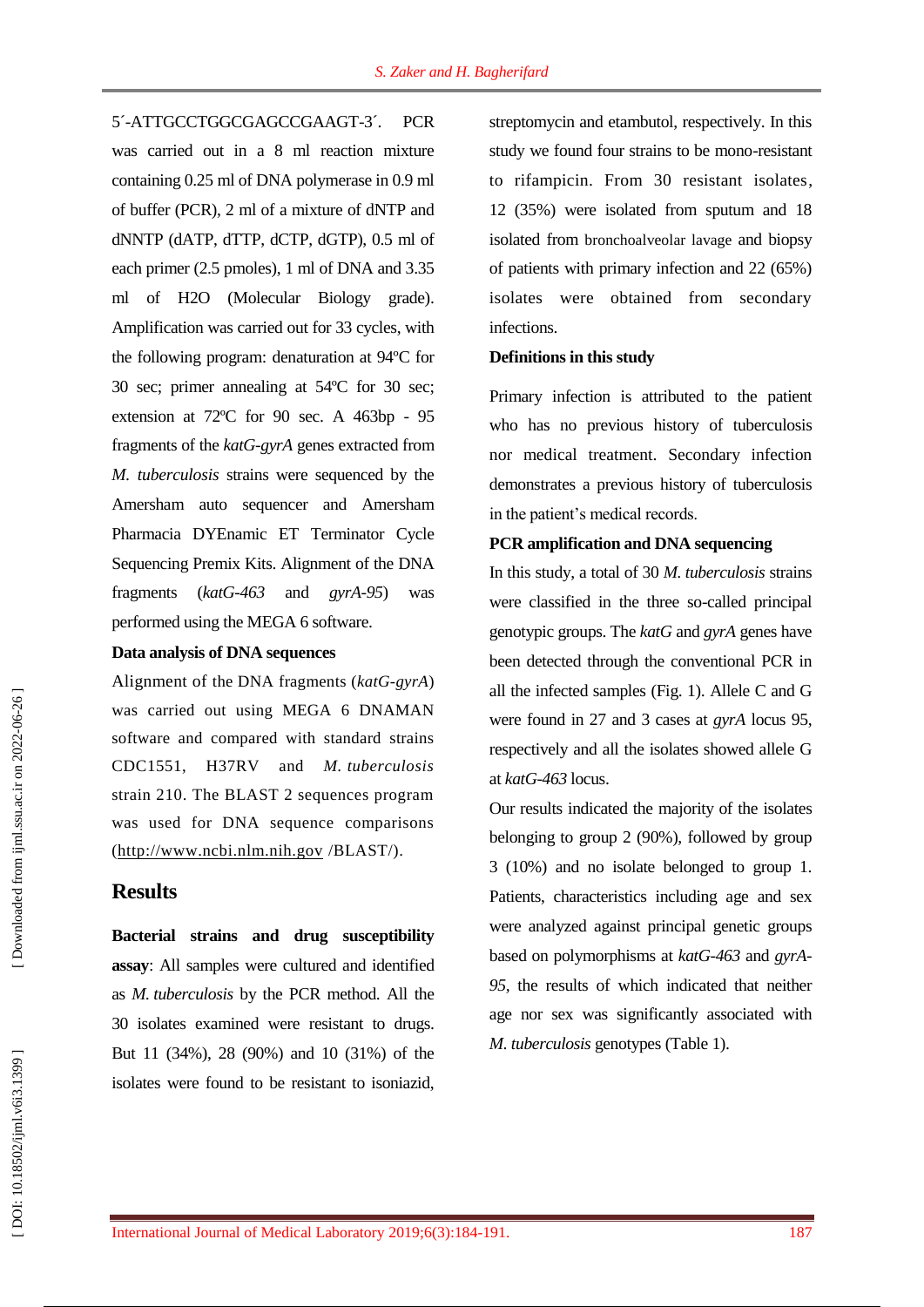5´ -ATTGCCTGGCGAGCCGAAGT PCR was carried out in a 8 ml reaction mixture containing 0.25 ml of DNA polymerase in 0.9 ml of buffer (PCR), 2 ml of a mixture of dNTP and dNNTP (dATP, dTTP, dCTP, dGTP), 0.5 ml of each primer (2.5 pmoles), 1 ml of DNA and 3.35 ml of H2O (Molecular Biology grade). Amplification was carried out for 33 cycles, with the following program: denaturation at 94ºC for 30 sec; primer annealing at 54ºC for 30 sec; extension at  $72^{\circ}$ C for 90 sec. A 463bp - 95 fragments of the *katG -gyrA* genes extracted from *M. tuberculosis* strains were sequenced by the Amersham auto sequencer and Amersham Pharmacia DYEnamic ET Terminator Cycle Sequencing Premix Kits. Alignment of the DNA fragments (*katG -463* and *gyrA -95* ) was performed using the MEGA 6 software.

#### **Data analysis of DNA sequences**

Alignment of the DNA fragments (*katG -gyrA*) was carried out using MEGA 6 DNAMAN software and compared with standard strains CDC1551, H37RV and *M. tuberculosis* strain 210. The BLAST 2 sequences program was used for DNA sequence comparisons [\(http://www.ncbi.nlm.nih.gov](http://www.ncbi.nlm.nih.gov/) /BLAST/).

### **Results**

**Bacterial strains and drug susceptibility assay**: All samples were cultured and identified as *M. tuberculosis* by the PCR method. All the 30 isolates examined were resistant to drugs. But 11 (34%), 28 (90%) and 10 (31%) of the isolates were found to be resistant to isoniazid,

streptomycin and etambutol, respectively. In this study we found four strains to be mono -resistant to rifampicin. From 30 resistant isolates, 12 (35%) were isolated from sputum and 18 isolated from bronchoalveolar lavage and biopsy of patients with primary infection and 22 (65%) isolates were obtained from secondary infections.

#### **Definitions in this study**

Primary infection is attributed to the patient who has no previous history of tuberculosis nor medical treatment. Secondary infection demonstrates a previous history of tuberculosis in the patient's medical records.

#### **PCR amplification and DNA sequencing**

In this study, a total of 30 *M. tuberculosis* strains were classified in the three so -called principal genotypic groups. The *katG* and *gyrA* genes have been detected through the conventional PCR in all the infected samples (Fig. 1). Allele C and G were found in 27 and 3 cases at *gyrA* locus 95, respectively and all the isolates showed allele G at *katG -463* locus.

Our results indicated the majority of the isolates belonging to group 2 (90%), followed by group 3 (10%) and no isolate belonged to group 1. Patients , characteristics including age and sex were analyzed against principal genetic groups based on polymorphisms at *katG -463* and *gyrA - 95,* the results of which indicated that neither age nor sex was significantly associated with *M. tuberculosis* genotypes (Table 1).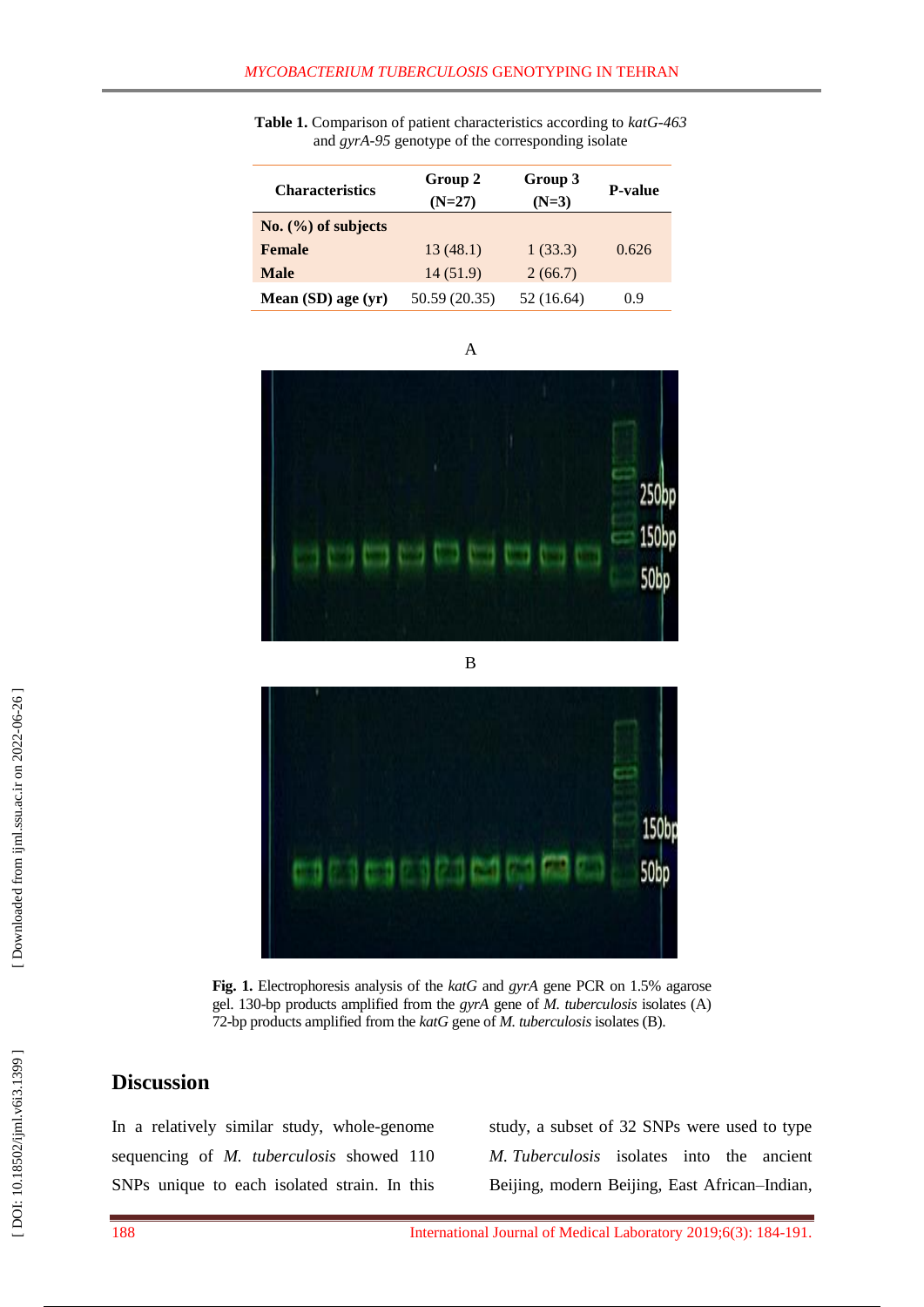| <b>Characteristics</b> | Group 2<br>$(N=27)$ | Group 3<br>$(N=3)$ | <b>P-value</b> |
|------------------------|---------------------|--------------------|----------------|
| No. (%) of subjects    |                     |                    |                |
| <b>Female</b>          | 13(48.1)            | 1(33.3)            | 0.626          |
| <b>Male</b>            | 14(51.9)            | 2(66.7)            |                |
| Mean (SD) age (yr)     | 50.59 (20.35)       | 52 (16.64)         | 0.9            |

**Table 1.** Comparison of patient characteristics according to *katG -463*  and *gyrA -95* genotype of the corresponding isolate





 $\overline{B}$ 



**Fig . 1.** Electrophoresis analysis of the *katG* and *gyrA* gene PCR on 1.5% agarose gel. 130 -bp products amplified from the *gyrA* gene of *M. tuberculosis* isolates (A) 72 -bp products amplified from the *katG* gene of *M. tuberculosis* isolates (B).

# **Discussion**

In a relatively similar study, whole -genome sequencing of *M. tuberculosis* showed 110 SNPs unique to each isolated strain. In this

study, a subset of 32 SNPs were used to type *M. Tuberculosis* isolates into the ancient Beijing, modern Beijing, East African –Indian,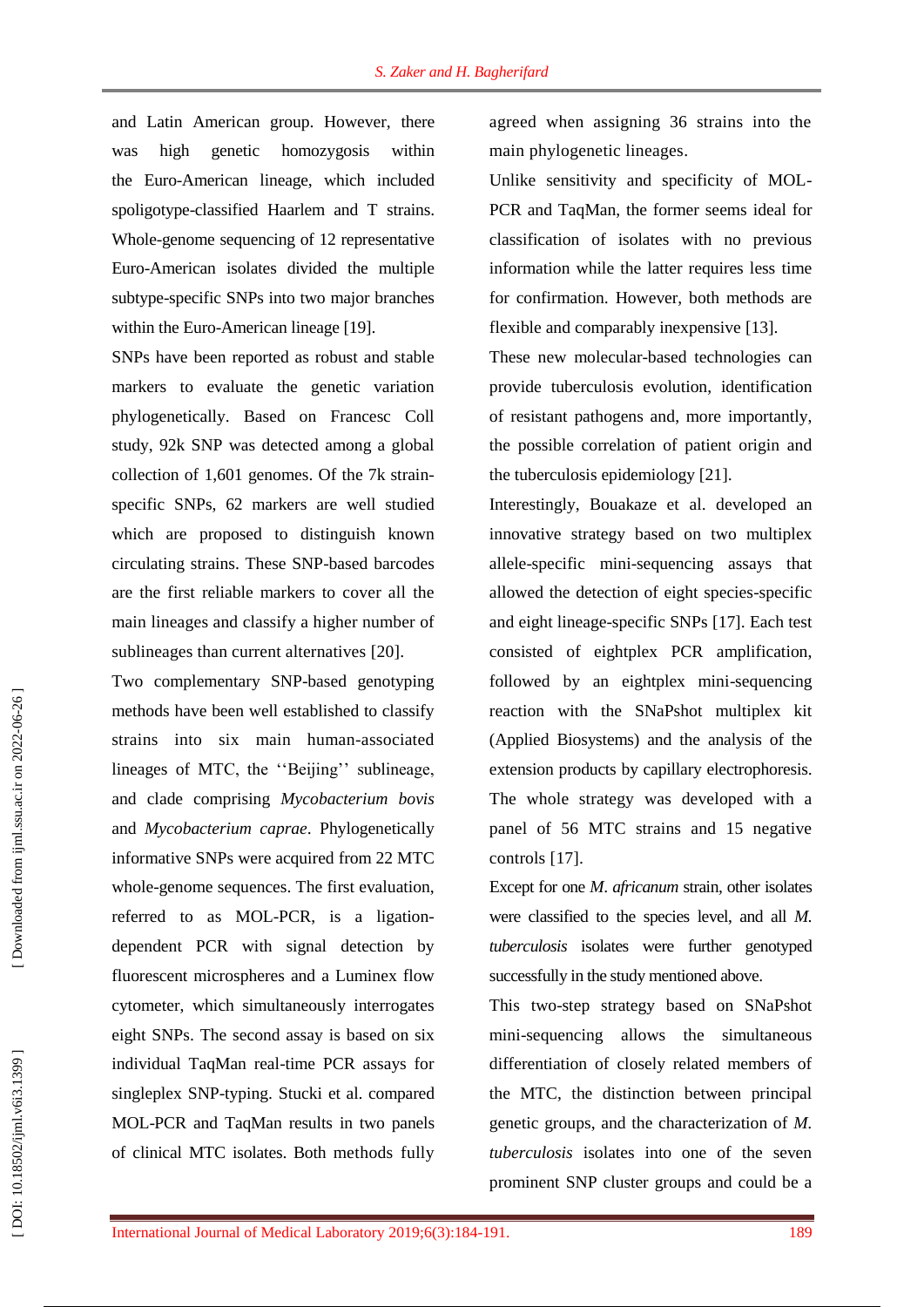and Latin American group. However, there was high genetic homozygosis within the Euro -American lineage, which included spoligotype -classified Haarlem and T strains. Whole -genome sequencing of 12 representative Euro -American isolates divided the multiple subtype -specific SNPs into two major branches within the Euro-American lineage [19].

SNPs have been reported as robust and stable markers to evaluate the genetic variation phylogenetically. Based on Francesc Coll study, 92k SNP was detected among a global collection of 1,601 genomes . Of the 7k strain specific SNPs, 62 markers are well studied which are proposed to distinguish known circulating strains. These SNP -based barcodes are the first reliable markers to cover all the main lineages and classify a higher number of sublineages than current alternatives [20].

Two complementary SNP -based genotyping methods have been well established to classify strains into six main human -associated lineages of MTC, the ''Beijing'' sublineage, and clade comprising *Mycobacterium bovis* and *Mycobacterium caprae*. Phylogenetically informative SNPs were acquired from 22 MTC whole -genome sequences. The first evaluation, referred to as MOL-PCR, is a ligationdependent PCR with signal detection by fluorescent microspheres and a Luminex flow cytometer, which simultaneously interrogates eight SNPs. The second assay is based on six individual TaqMan real -time PCR assays for singleplex SNP -typing. Stucki et al. compared MOL -PCR and TaqMan results in two panels of clinical MTC isolates. Both methods fully

agreed when assigning 36 strains into the main phylogenetic lineages.

Unlike sensitivity and specificity of MOL-PCR and TaqMan, the former seems idea l for classification of isolates with no previous information while the latter requires less time for confirmation. However, both methods are flexible and comparably inexpensive [13 ].

These new molecular -based technologies can provide tuberculosis evolution, identification of resistant pathogens and , more importantly , the possible correlation of patient origin and the tuberculosis epidemiology [21 ] .

Interestingly, Bouakaze et al. developed an innovative strategy based on two multiplex allele -specific mini -sequencing assays that allowed the detection of eight species -specific and eight lineage -specific SNPs [17 ]. Each test consisted of eightplex PCR amplification, followed by an eightplex mini-sequencing reaction with the SNaPshot multiplex kit (Applied Biosystems) and the analysis of the extension products by capillary electrophoresis. The whole strategy was developed with a panel of 56 MTC strains and 15 negative controls [17 ].

Except for one *M*. *africanum* strain*,* other isolates were classified to the species level, and all *M. tuberculosis* isolates were further genotyped successfully in the study mentioned above.

This two -step strategy based on SNaPshot mini -sequencing allows the simultaneous differentiation of c losely related members of the MTC, the distinction between principal genetic groups, and the characterization of *M. tuberculosis* isolates into one of the seven prominent SNP cluster groups and could be a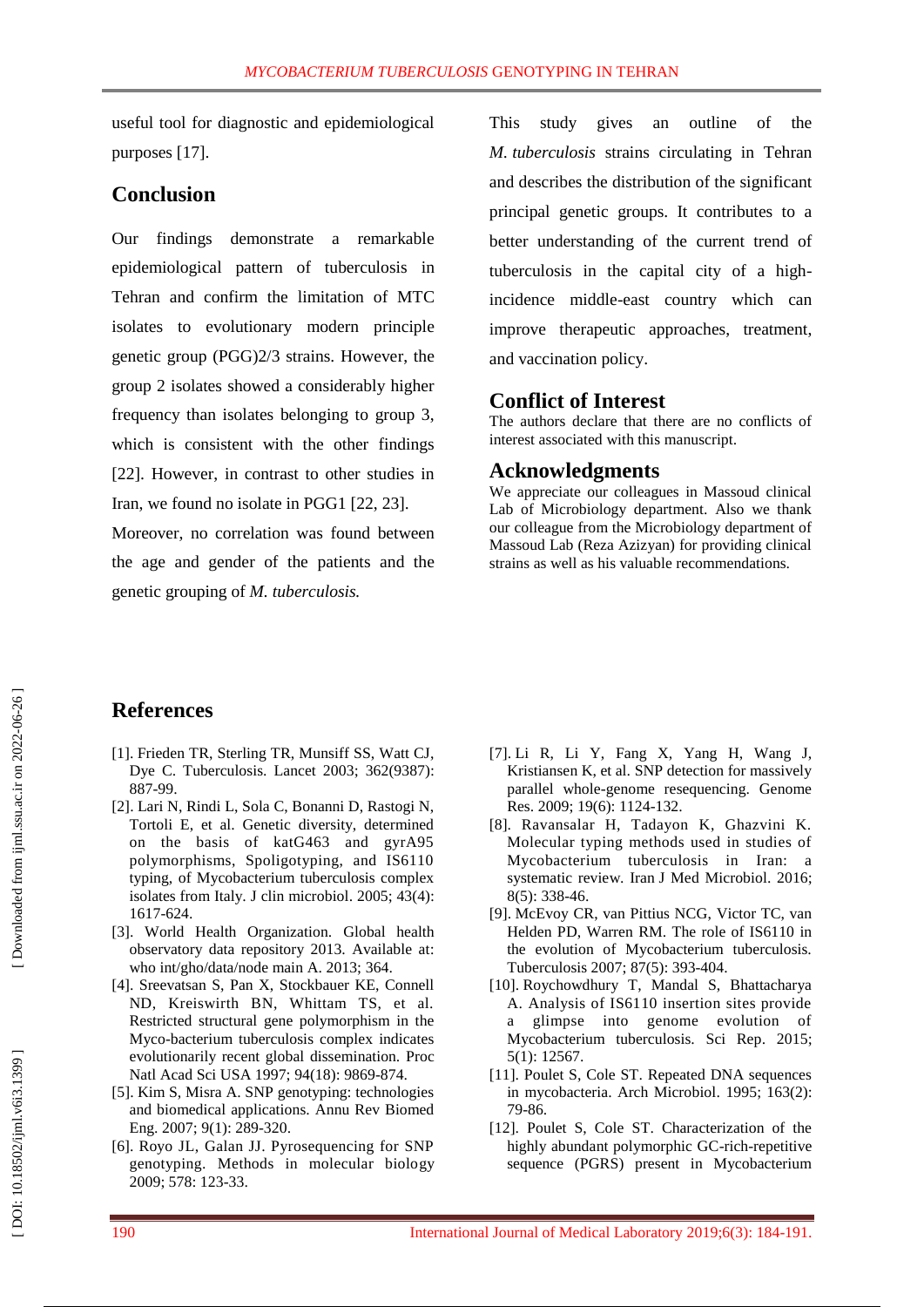useful tool for diagnostic and epidemiological purposes [17 ] .

# **Conclusion**

Our findings demonstrate a remarkable epidemiological pattern of tuberculosis in Tehran and confirm the limitation of MTC isolates to evolutionary modern principle genetic group (PGG)2/3 strains. However, the group 2 isolates showed a considerably higher frequency than isolates belonging to group 3, which is consistent with the other findings [22]. However, in contrast to other studies in Iran, we found no isolate in PGG1 [22, 23 ].

Moreover, no correlation was found between the age and gender of the patient s and the genetic grouping of *M. tuberculosis.*

This study gives an outline of the *M. tuberculosi s* strains circulating in Tehran and describes the distribution of the significant principal genetic groups. It contributes to a better understanding of the current trend of tuberculosis in the capital city of a high incidence middle -east country which can improve therapeutic approaches, treatment, and vaccination policy.

## **Conflict of Interest**

The authors declare that there are no conflicts of interest associated with this manuscript.

# **Acknowledgment s**

We appreciate our colleagues in Massoud clinical Lab of Microbiology department. Also we thank our colleague from the Microbiology department of Massoud Lab (Reza Azizyan) for providing clinical strains as well as his valuable recommendations.

# **References**

- [1]. Frieden TR, Sterling TR, Munsiff SS, Watt CJ, Dye C. Tuberculosis. Lancet 2003; 362(9387): 887 -99.
- [2]. Lari N, Rindi L, Sola C, Bonanni D, Rastogi N, Tortoli E, et al. Genetic diversity, determined on the basis of katG463 and gyrA95 polymorphisms, Spoligotyping, and IS6110 typing, of Mycobacterium tuberculosis complex isolates from Italy. J clin microbiol . 2005; 43(4): 1617 - 624.
- [3]. World Health Organization. Global health observatory data repository 2013. Available at : who int/gho/data/node main A. 2013; 364.
- [4]. Sreevatsan S, Pan X, Stockbauer KE, Connell ND, Kreiswirth BN, Whittam TS, et al. Restricted structural gene polymorphism in the Myco -bacterium tuberculosis complex indicates evolutionarily recent global dissemination. Proc Natl Acad Sci USA 1997; 94(18): 9869 - 874.
- [5]. Kim S, Misra A. SNP genotyping: technologies and biomedical applications. Annu Rev Biomed Eng . 2007; 9(1) : 289 -320.
- [6]. Royo JL, Galan JJ. Pyrosequencing for SNP genotyping. Methods in molecular biology 2009; 578: 123 -33.
- [7]. Li R, Li Y, Fang X, Yang H, Wang J, Kristiansen K, et al. SNP detection for massively parallel whole -genome resequencing. Genome Res. 2009; 19(6): 1124-132.
- [8] . Ravansalar H, Tadayon K, Ghazvini K. Molecular typing methods used in studies of Mycobacterium tuberculosis in Iran: a systematic review. Iran J Med Microbiol . 2016; 8(5): 338 -46 .
- [9]. McEvoy CR, van Pittius NCG, Victor TC, van Helden PD, Warren RM. The role of IS6110 in the evolution of Mycobacterium tuberculosis. Tuberculosis 2007; 87(5): 393 -404.
- [10]. Roychowdhury T, Mandal S, Bhattacharya A. Analysis of IS6110 insertion sites provide a glimpse into genome evolution of Mycobacterium tuberculosis. Sci Rep . 2015; 5(1) : 12567.
- [11]. Poulet S, Cole ST. Repeated DNA sequences in mycobacteria. Arch Microbiol . 1995; 163(2): 79 -86.
- [12]. Poulet S, Cole ST. Characterization of the highly abundant polymorphic GC -rich -repetitive sequence (PGRS) present in Mycobacterium